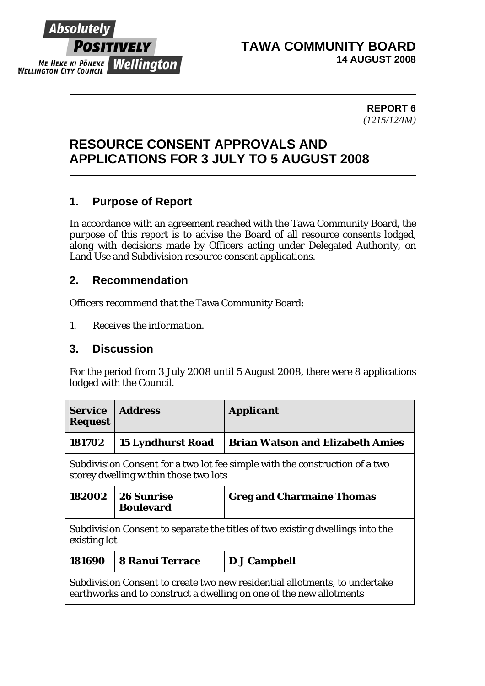

#### **TAWA COMMUNITY BOARD 14 AUGUST 2008**

 **REPORT 6**  *(1215/12/IM)* 

# **RESOURCE CONSENT APPROVALS AND APPLICATIONS FOR 3 JULY TO 5 AUGUST 2008**

### **1. Purpose of Report**

In accordance with an agreement reached with the Tawa Community Board, the purpose of this report is to advise the Board of all resource consents lodged, along with decisions made by Officers acting under Delegated Authority, on Land Use and Subdivision resource consent applications.

#### **2. Recommendation**

Officers recommend that the Tawa Community Board:

*1. Receives the information.* 

#### **3. Discussion**

For the period from 3 July 2008 until 5 August 2008, there were 8 applications lodged with the Council.

| <i><b>Service</b></i><br><b>Request</b>                                                                                                           | <b>Address</b>                        | <b>Applicant</b>                        |  |  |
|---------------------------------------------------------------------------------------------------------------------------------------------------|---------------------------------------|-----------------------------------------|--|--|
| 181702                                                                                                                                            | <b>15 Lyndhurst Road</b>              | <b>Brian Watson and Elizabeth Amies</b> |  |  |
| Subdivision Consent for a two lot fee simple with the construction of a two<br>storey dwelling within those two lots                              |                                       |                                         |  |  |
| 182002                                                                                                                                            | <b>26 Sunrise</b><br><b>Boulevard</b> | <b>Greg and Charmaine Thomas</b>        |  |  |
| Subdivision Consent to separate the titles of two existing dwellings into the<br>existing lot                                                     |                                       |                                         |  |  |
| 181690                                                                                                                                            | <b>8 Ranui Terrace</b>                | D J Campbell                            |  |  |
| Subdivision Consent to create two new residential allotments, to undertake<br>earthworks and to construct a dwelling on one of the new allotments |                                       |                                         |  |  |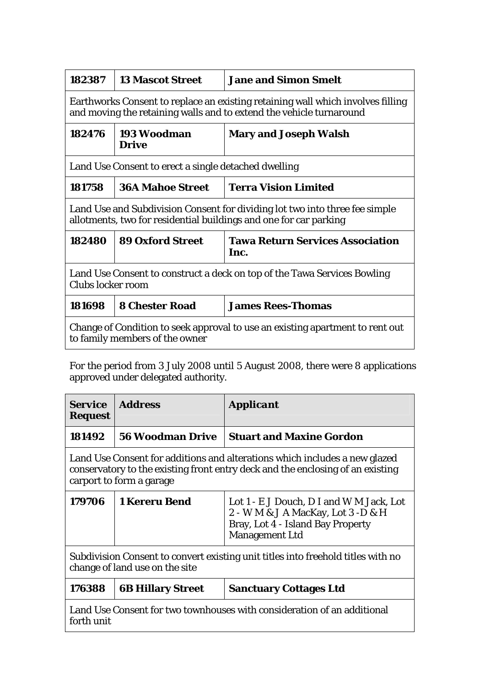| 182387                                                                                                                                                 | <b>13 Mascot Street</b>     | <b>Jane and Simon Smelt</b>                     |  |  |
|--------------------------------------------------------------------------------------------------------------------------------------------------------|-----------------------------|-------------------------------------------------|--|--|
| Earthworks Consent to replace an existing retaining wall which involves filling<br>and moving the retaining walls and to extend the vehicle turnaround |                             |                                                 |  |  |
| 182476                                                                                                                                                 | 193 Woodman<br><b>Drive</b> | <b>Mary and Joseph Walsh</b>                    |  |  |
| Land Use Consent to erect a single detached dwelling                                                                                                   |                             |                                                 |  |  |
| 181758                                                                                                                                                 | <b>36A Mahoe Street</b>     | <b>Terra Vision Limited</b>                     |  |  |
| Land Use and Subdivision Consent for dividing lot two into three fee simple<br>allotments, two for residential buildings and one for car parking       |                             |                                                 |  |  |
| 182480                                                                                                                                                 | <b>89 Oxford Street</b>     | <b>Tawa Return Services Association</b><br>Inc. |  |  |
| Land Use Consent to construct a deck on top of the Tawa Services Bowling<br>Clubs locker room                                                          |                             |                                                 |  |  |
| 181698                                                                                                                                                 | <b>8 Chester Road</b>       | <b>James Rees-Thomas</b>                        |  |  |
| Change of Condition to seek approval to use an existing apartment to rent out<br>to family members of the owner                                        |                             |                                                 |  |  |

For the period from 3 July 2008 until 5 August 2008, there were 8 applications approved under delegated authority.

| <b>Service</b><br><b>Request</b>                                                                                                                                                         | <b>Address</b>           | <i><b>Applicant</b></i>                                                                                                                      |  |  |
|------------------------------------------------------------------------------------------------------------------------------------------------------------------------------------------|--------------------------|----------------------------------------------------------------------------------------------------------------------------------------------|--|--|
| 181492                                                                                                                                                                                   | <b>56 Woodman Drive</b>  | <b>Stuart and Maxine Gordon</b>                                                                                                              |  |  |
| Land Use Consent for additions and alterations which includes a new glazed<br>conservatory to the existing front entry deck and the enclosing of an existing<br>carport to form a garage |                          |                                                                                                                                              |  |  |
| 179706                                                                                                                                                                                   | <b>1 Kereru Bend</b>     | Lot 1 - E J Douch, D I and W M Jack, Lot<br>2 - W M & J A MacKay, Lot 3 -D & H<br>Bray, Lot 4 - Island Bay Property<br><b>Management Ltd</b> |  |  |
| Subdivision Consent to convert existing unit titles into freehold titles with no<br>change of land use on the site                                                                       |                          |                                                                                                                                              |  |  |
| 176388                                                                                                                                                                                   | <b>6B Hillary Street</b> | <b>Sanctuary Cottages Ltd</b>                                                                                                                |  |  |
| Land Use Consent for two townhouses with consideration of an additional<br>forth unit                                                                                                    |                          |                                                                                                                                              |  |  |